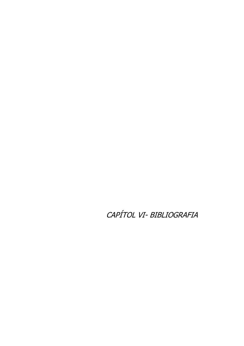CAPÍTOL VI- BIBLIOGRAFIA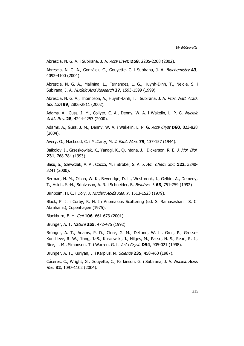Abrescia, N. G. A. i Subirana, J. A. Acta Cryst. **D58**, 2205-2208 (2002).

Abrescia, N. G. A., González, C., Gouyette, C. i Subirana, J. A. Biochemistry **43**, 4092-4100 (2004).

Abrescia, N. G. A., Malinina, L., Fernandez, L. G., Huynh-Dinh, T., Neidle, S. i Subirana, J. A. Nucleic Acid Research **27**, 1593-1599 (1999).

Abrescia, N. G. A., Thompson, A., Huynh-Dinh, T. i Subirana, J. A. Proc. Natl. Acad. Sci. USA **99**, 2806-2811 (2002).

Adams, A., Guss, J. M., Collyer, C. A., Denny, W. A. i Wakelin, L. P. G. Nucleic Acids Res. **28**, 4244-4253 (2000).

Adams, A., Guss, J. M., Denny, W. A. i Wakelin, L. P. G. Acta Cryst **D60**, 823-828 (2004).

Avery, O., MacLeod, C. i McCarty, M. J. Expt. Med. **79**, 137-157 (1944).

Baikolov, I., Grzeskowiak, K., Yanagi, K., Quintana, J. i Dickerson, R. E. J. Mol. Biol. **231**, 768-784 (1993).

Basu, S., Szewczak, A. A., Cocco, M. i Strobel, S. A. J. Am. Chem. Soc. **122**, 3240- 3241 (2000).

Berman, H. M., Olson, W. K., Beveridge, D. L., Westbrook, J., Gelbin, A., Demeny, T., Hsieh, S.-H., Srinivasan, A. R. i Schneider, B. Biophys. J. **63**, 751-759 (1992).

Birnboim, H. C. i Doly, J. Nucleic Acids Res. **7**, 1513-1523 (1979).

Black, P. J. i Corby, R. N. In Anomalous Scattering (ed. S. Ramaseshan i S. C. Abrahams), Copenhagen (1975).

Blackburn, E. H. Cell **106**, 661-673 (2001).

Brünger, A. T. Nature **355**, 472-475 (1992).

Brünger, A. T., Adams, P. D., Clore, G. M., DeLano, W. L., Gros, P., Grosse-Kunstleve, R. W., Jiang, J.-S., Kuszewski, J., Nilges, M., Passu, N. S., Read, R. J., Rice, L. M., Simonson, T. i Warren, G. L. Acta Cryst. **D54**, 905-021 (1998).

Brünger, A. T., Kuriyan, J. i Karplus, M. Science **235**, 458-460 (1987).

Cáceres, C., Wright, G., Gouyette, C., Parkinson, G. i Subirana, J. A. Nucleic Acids Res. **32**, 1097-1102 (2004).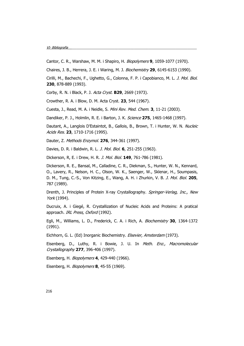Cantor, C. R., Warshaw, M. M. i Shapiro, H. Biopolymers **9**, 1059-1077 (1970).

Chaires, J. B., Herrera, J. E. i Waring, M. J. Biochemistry **29**, 6145-6153 (1990).

Cirilli, M., Bachechi, F., Ughetto, G., Colonna, F. P. i Capobianco, M. L. J. Mol. Biol. **230**, 878-889 (1993).

Corby, R. N. i Black, P. J. Acta Cryst. **B29**, 2669 (1973).

Crowther, R. A. i Blow, D. M. Acta Cryst. **23**, 544 (1967).

Cuesta, J., Read, M. A. i Neidle, S. Mini Rev. Med. Chem. **3**, 11-21 (2003).

Dandiker, P. J., Holmlin, R. E. i Barton, J. K. Science **275**, 1465-1468 (1997).

Dautant, A., Langlois D'Estaintot, B., Gallois, B., Brown, T. i Hunter, W. N. Nucleic Acids Res. **23**, 1710-1716 (1995).

Dauter, Z. Methods Enzymol. **276**, 344-361 (1997).

Davies, D. R. i Baldwin, R. L. J. Mol. Biol. **6**, 251-255 (1963).

Dickerson, R, E. i Drew, H. R. J. Mol. Biol. **149**, 761-786 (1981).

Dickerson, R. E., Bansal, M., Calladine, C. R., Diekman, S., Hunter, W. N., Kennard, O., Lavery, R., Nelson, H. C., Olson, W. K., Saenger, W., Sklenar, H., Soumpasis, D. M., Tung, C.-S., Von Kitzing, E., Wang, A. H. i Zhurkin, V. B. J. Mol. Biol. **205**, 787 (1989).

Drenth, J. Principles of Protein X-ray Crystallography. Springer-Verlag, Inc., New York (1994).

Ducruix, A. i Giegé, R. Crystallization of Nucleic Acids and Proteins: A pratical approach. IRL Press, Oxford (1992).

Egli, M., Williams, L. D., Frederick, C. A. i Rich, A. Biochemistry **30**, 1364-1372 (1991).

Eichhorn, G. L. (Ed) Inorganic Biochemistry. Elsevier, Amsterdam (1973).

Eisenberg, D., Luthy, R. i Bowie, J. U. In Meth. Enz., Macromolecular Crystallography **277**, 396-406 (1997).

Eisenberg, H. Biopolymers **4**, 429-440 (1966).

Eisenberg, H. Biopolymers **8**, 45-55 (1969).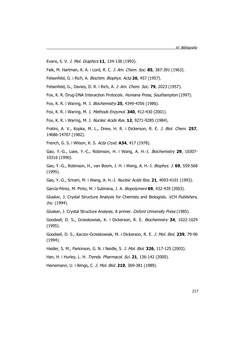Evans, S. V. J. Mol. Graphics **11**, 134-138 (1993).

Falk, M. Hartman, K. A. i Lord, R. C. J. Am. Chem. Soc. **85**, 387-391 (1963).

Felsenfeld, G. i Rich, A. Biochim. Biophys. Acta **26**, 457 (1957).

Felsenfeld, G., Davies, D. R. i Rich, A. J. Am. Chem. Soc. **79**, 2023 (1957).

Fox, K. R. Drug-DNA Interaction Protocols. Humana Press, Southampton (1997).

Fox, K. R. i Waring, M. J. Biochemistry **25**, 4349-4356 (1986).

Fox, K. R. i Waring, M. J. Methods Enzymol. **340**, 412-430 (2001).

Fox, K. R. i Waring, M. J. Nucleic Acids Res. **12**, 9271-9285 (1984).

Fratini, A. V., Kopka, M. L., Drew, H. R. i Dickerson, R. E. J. Biol. Chem. **257**, 14686-14707 (1982).

French, G. S. i Wilson, K. S. Acta Cryst. **A34**, 417 (1978).

Gao, Y.-G., Liaw, Y.-C., Robinson, H. i Wang, A. H.-J. Biochemistry **29**, 10307- 10316 (1990).

Gao, Y.-G., Robinson, H., van Boom, J. H. i Wang, A. H.-J. Biophys. J. **69**, 559-568 (1995).

Gao, Y.-G., Sriram, M. i Wang, A. H.-J. Nucleic Acids Res. **21**, 4093-4101 (1993).

García-Pérez, M. Pinto, M. i Subirana, J. A. Biopolymers **69**, 432-439 (2003).

Glusker, J. Crystal Structure Analysis for Chemists and Biologists. VCH Publishers, Inc. (1994).

Glusker, J. Crystal Structure Analysis. A primer. Oxford University Press (1985).

Goodsell, D. S., Grzeskowiak, K. i Dickerson, R. E. Biochemistry **34**, 1022-1029 (1995).

Goodsell, D. S., Kaczor-Grzeskowiak, M. i Dickerson, R. E. J. Mol. Biol. **239**, 79-96 (1994).

Haider, S. M., Parkinson, G. N. i Neidle, S. J. Mol. Biol. **326**, 117-125 (2003).

Han, H. i Hurley, L. H. Trends. Pharmacol. Sci. **21**, 136-142 (2000).

Heinemann, U. i Alings, C. J. Mol. Biol. **210**, 369-381 (1989).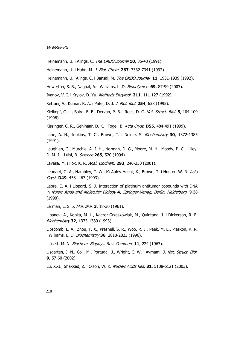Heinemann, U. i Alings, C. The EMBO Journal **10**, 35-43 (1991).

Heinemann, U. i Hahn, M. J. Biol. Chem. **267**, 7332-7341 (1992).

Heinemann, U., Alings, C. i Bansal, M. The EMBO Journal **11**, 1931-1939 (1992).

Howerton, S. B., Nagpal, A. i Williams, L. D. Biopolymers **69**, 87-99 (2003).

Ivanov, V. I. i Krylov, D. Yu. Methods Enzymol. **211**, 111-127 (1992).

Kettani, A., Kumar, R. A. i Patel, D. J. J. Mol. Biol. **254**, 638 (1995).

Kielkopf, C. L., Baird, E. E., Dervan, P. B. i Rees, D. C. Nat. Struct. Biol. **5**, 104-109 (1998).

Kissinger, C. R., Gehlhaar, D. K. i Fogel, B. Acta Cryst. **D55**, 484-491 (1999).

Lane, A. N., Jenkins, T. C., Brown, T. i Neidle, S. Biochemistry **30**, 1372-1385 (1991).

Laughlan, G., Murchie, A. I. H., Norman, D. G., Moore, M. H., Moody, P. C., Lilley, D. M. J. i Luisi, B. Science **265**, 520 (1994).

Lavesa, M. i Fox, K. R. Anal. Biochem. **293**, 246-250 (2001).

Leonard, G. A., Hambley, T. W., McAuley-Hecht, K., Brown, T. i Hunter, W. N. Acta Cryst. **D49**, 458- 467 (1993).

Lepre, C. A. i Lippard, S. J. Interaction of platinum antitumor copounds with DNA in Nuleic Acids and Molecular Biology **4**, Springer-Verlag, Berlin, Heidelberg, 9-38 (1990).

Lerman, L. S. J. Mol. Biol. **3**, 18-30 (1961).

Lipanov, A., Kopka, M. L., Kaczor-Grzeskowiak, M., Quintana, J. i Dickerson, R. E. Biochemistry **32**, 1373-1389 (1993).

Lipscomb, L. A., Zhou, F. X., Presnell, S. R., Woo, R. J., Peek, M. E., Plaskon, R. R. i Williams, L. D. Biochemistry **36**, 2818-2823 (1996).

Lipsett, M. N. Biochem. Biophys. Res. Commun. **11**, 224 (1963).

Lisgarten, J. N., Coll, M., Portugal, J., Wright, C. W. i Aymamí, J. Nat. Struct. Biol. **9**, 57-60 (2002).

Lu, X.-J., Shakked, Z. i Olson, W. K. Nucleic Acids Res. **31**, 5108-5121 (2003).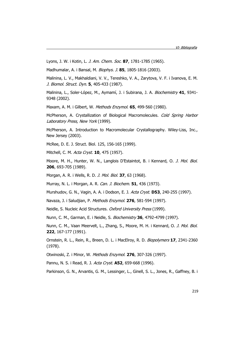Lyons, J. W. i Kotin, L. J. Am. Chem. Soc. **87**, 1781-1785 (1965).

Madhumalar, A. i Bansal, M. Biophys. J. **85**, 1805-1816 (2003).

Malinina, L. V., Makhaldiani, V. V., Tereshko, V. A., Zarytova, V. F. i Ivanova, E. M. J. Biomol. Struct. Dyn. **5**, 405-433 (1987).

Malinina, L., Soler-López, M., Aymamí, J. i Subirana, J. A. Biochemistry **41**, 9341- 9348 (2002).

Maxam, A. M. i Gilbert, W. Methods Enzymol. **65**, 499-560 (1980).

McPherson, A. Crystallization of Biological Macromolecules. Cold Spring Harbor Laboratory Press, New York (1999).

McPherson, A. Introduction to Macromolecular Crystallography. Wiley-Liss, Inc., New Jersey (2003).

McRee, D. E. J. Struct. Biol. 125, 156-165 (1999).

Mitchell, C. M. Acta Cryst. **10**, 475 (1957).

Moore, M. H., Hunter, W. N., Langlois D'Estaintot, B. i Kennard, O. J. Mol. Biol. **206**, 693-705 (1989).

Morgan, A. R. i Wells, R. D. J. Mol. Biol. **37**, 63 (1968).

Murray, N. L. i Morgan, A. R. Can. J. Biochem. **51**, 436 (1973).

Murshudov, G. N., Vagin, A. A. i Dodson, E. J. Acta Cryst. **D53**, 240-255 (1997).

Navaza, J. i Saludjian, P. Methods Enzymol. **276**, 581-594 (1997).

Neidle, S. Nucleic Acid Structures. Oxford University Press (1999).

Nunn, C. M., Garman, E. i Neidle, S. Biochemistry **36**, 4792-4799 (1997).

Nunn, C. M., Vaan Meervelt, L., Zhang, S., Moore, M. H. i Kennard, O. J. Mol. Biol. **222**, 167-177 (1991).

Ornstein, R. L., Rein, R., Breen, D. L. i MacElroy, R. D. Biopolymers **17**, 2341-2360 (1978).

Otwinoski, Z. i Minor, W. Methods Enzymol. **276**, 307-326 (1997).

Pannu, N. S. i Read, R. J. Acta Cryst. **A52**, 659-668 (1996).

Parkinson, G. N., Arvantis, G. M., Lessinger, L., Ginell, S. L., Jones, R., Gaffney, B. i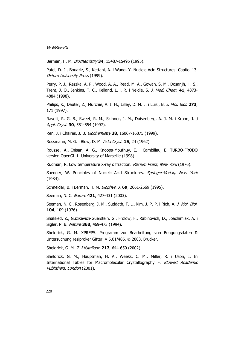Berman, H. M. Biochemistry **34**, 15487-15495 (1995).

Patel, D. J., Bouaziz, S., Kettani, A. i Wang, Y. Nucleic Acid Structures. Capítol 13. Oxford University Press (1999).

Perry, P. J., Reszka, A. P., Wood, A. A., Read, M. A., Gowan, S. M., Dosanjh, H. S., Trent, J. O., Jenkins, T. C., Kelland, L. l. R. i Neidle, S. J. Med. Chem. **41**, 4873- 4884 (1998).

Philips, K., Dauter, Z., Murchie, A. I. H., Lilley, D. M. J. i Luisi, B. J. Mol. Biol. **273**, 171 (1997).

Ravelli, R. G. B., Sweet, R. M., Skinner, J. M., Duisenberg, A. J. M. i Kroon, J. J Appl. Cryst. **30**, 551-554 (1997).

Ren, J. i Chaires, J. B. Biochemistry **38**, 16067-16075 (1999).

Rossmann, M. G. i Blow, D. M. Acta Cryst. **15**, 24 (1962).

Roussel, A., Inisan, A. G., Knoops-Mouthuy, E. i Cambillau, E. TURBO-FRODO version OpenGL.1. University of Marseille (1998).

Rudman, R. Low temperature X-ray diffraction. Plenum Press, New York (1976).

Saenger, W. Principles of Nucleic Acid Structures. Springer-Verlag. New York (1984).

Schneider, B. i Berman, H. M. Biophys. J. **69**, 2661-2669 (1995).

Seeman, N. C. Nature **421**, 427-431 (2003).

Seeman, N. C., Rosenberg, J. M., Suddath, F. L., kim, J. P. P. i Rich, A. J. Mol. Biol. **104**, 109 (1976).

Shakked, Z., Guzikevich-Guerstein, G., Frolow, F., Rabinovich, D., Joachimiak, A. i Sigler, P. B. Nature **368**, 469-473 (1994).

Sheldrick, G. M. XPREP5. Programm zur Bearbeitung von Bengungsdaten & Untersuchung reziproker Gitter. V 5.01/486, © 2003, Brucker.

Sheldrick, G. M. Z. Kristallogr. **217**, 644-650 (2002).

Sheldrick, G. M., Hauptman, H. A., Weeks, C. M., Miller, R. i Usón, I. In International Tables for Macromolecular Crystallography F. Kluwert Academic Publishers, London (2001).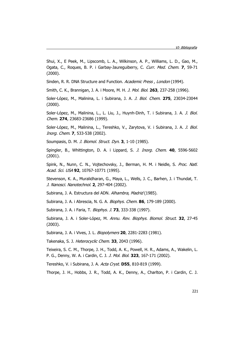Shui, X., E Peek, M., Lipscomb, L. A., Wilkinson, A. P., Williams, L. D., Gao, M., Ogata, C., Roques, B. P. i Garbay-Jaureguiberry, C. Curr. Med. Chem. **7**, 59-71 (2000).

Sinden, R. R. DNA Structure and Function. Academic Press, London (1994).

Smith, C. K., Brannigan, J. A. i Moore, M. H. J. Mol. Biol. **263**, 237-258 (1996).

Soler-López, M., Malinina, L. i Subirana, J. A. J. Biol. Chem. **275**, 23034-23044 (2000).

Soler-López, M., Malinina, L., L. Liu, J., Huynh-Dinh, T. i Subirana, J. A. J. Biol. Chem. **274**, 23683-23686 (1999).

Soler-López, M., Malinina, L., Tereshko, V., Zarytova, V. i Subirana, J. A. J. Biol. Inorg. Chem. **7**, 533-538 (2002).

Soumpasis, D. M. J. Biomol. Struct. Dyn. **3**, 1-10 (1985).

Spingler, B., Whittington, D. A. i Lippard, S. J. Inorg. Chem. **40**, 5596-5602 (2001).

Spink, N., Nunn, C. N., Vojtechovsky, J., Berman, H. M. i Neidle, S. Proc. Natl. Acad. Sci. USA **92**, 10767-10771 (1995).

Stevenson, K. A., Muralidharan, G., Maya, L., Wells, J. C., Barhen, J. i Thundat, T. J. Nanosci. Nanotechnol. **2**, 297-404 (2002).

Subirana, J. A. Estructura del ADN. Alhambra, Madrid (1985).

Subirana, J. A. i Abrescia, N. G. A. Biophys. Chem. **86**, 179-189 (2000).

Subirana, J. A. i Faria, T. Biophys. J. **73**, 333-338 (1997).

Subirana, J. A. i Soler-López, M. Annu. Rev. Biophys. Biomol. Struct. **32**, 27-45 (2003).

Subirana, J. A. i Vives, J. L. Biopolymers **20**, 2281-2283 (1981).

Takenaka, S. J. Heterocyclic Chem. **33**, 2043 (1996).

Teixeira, S. C. M., Thorpe, J. H., Todd, A. K., Powell, H. R., Adams, A., Wakelin, L. P. G., Denny, W. A. i Cardin, C. J. J. Mol. Biol. **323**, 167-171 (2002).

Tereshko, V. i Subirana, J. A. Acta Cryst. **D55**, 810-819 (1999).

Thorpe, J. H., Hobbs, J. R., Todd, A. K., Denny, A., Charlton, P. i Cardin, C. J.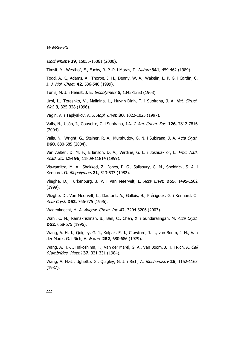Biochemistry **39**, 15055-15061 (2000).

Timsit, Y., Westhof, E., Fuchs, R. P .P. i Moras, D. Nature **341**, 459-462 (1989).

Todd, A. K., Adams, A., Thorpe, J. H., Denny, W. A., Wakelin, L. P. G. i Cardin, C. J. J. Mol. Chem. **42**, 536-540 (1999).

Tunis, M. J. i Hearst, J. E. Biopolymers **6**, 1345-1353 (1968).

Urpí, L., Tereshko, V., Malinina, L., Huynh-Dinh, T. i Subirana, J. A. Nat. Struct. Biol. **3**, 325-328 (1996).

Vagin, A. i Teplyakov, A. J. Appl. Cryst. **30**, 1022-1025 (1997).

Valls, N., Usón, I., Gouyette, C. i Subirana, J.A. J. Am. Chem. Soc. **126**, 7812-7816 (2004).

Valls, N., Wright, G., Steiner, R. A., Murshudov, G. N. i Subirana, J. A. Acta Cryst. **D60**, 680-685 (2004).

Van Aalten, D. M. F., Erlanson, D. A., Verdine, G. L. i Joshua-Tor, L. Proc. Natl. Acad. Sci. USA **96**, 11809-11814 (1999).

Viswamitra, M. A., Shakked, Z., Jones, P. G., Salisbury, G. M., Sheldrick, S. A. i Kennard, O. Biopolymers **21**, 513-533 (1982).

Vlieghe, D., Turkenburg, J. P. i Van Meervelt, L. Acta Cryst. **D55**, 1495-1502 (1999).

Vlieghe, D., Van Meervelt, L., Dautant, A., Gallois, B., Précigoux, G. i Kennard, O. Acta Cryst. **D52**, 766-775 (1996).

Wagenknecht, H.-A. Angew. Chem. Int. **42**, 3204-3206 (2003).

Wahl, C. M., Ramakrishnan, B., Ban, C., Chen, X. i Sundaralingan, M. Acta Cryst. **D52**, 668-675 (1996).

Wang, A. H. J., Quigley, G. J., Kolpak, F. J., Crawford, J. L., van Boom, J. H., Van der Marel, G. i Rich, A. Nature **282**, 680-686 (1979).

Wang, A. H.-J., Hakoshima, T., Van der Marel, G. A., Van Boom, J. H. i Rich, A. Cell (Cambridge, Mass.) **37**, 321-331 (1984).

Wang, A. H.-J., Ughetto, G., Quigley, G. J. i Rich, A. Biochemistry **26**, 1152-1163 (1987).